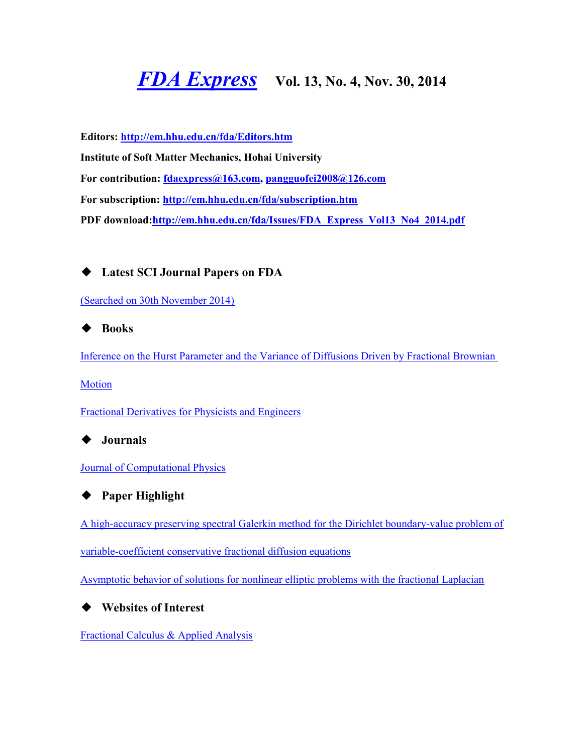# *[FDA Express](http://em.hhu.edu.cn/fda/index.htm)* **Vol. 13, No. 4, Nov. 30, 2014**

**Editors:<http://em.hhu.edu.cn/fda/Editors.htm> Institute of Soft Matter Mechanics, Hohai University For contribution: [fdaexpress@163.com,](mailto:fdaexpress@163.com) [pangguofei2008@126.com](mailto:fdaexpress@hhu.edu.cn) For subscription:<http://em.hhu.edu.cn/fda/subscription.htm> PDF download[:http://em.hhu.edu.cn/fda/Issues/FDA\\_Express\\_Vol13\\_No4\\_2014.pdf](http://em.hhu.edu.cn/fda/Issues/FDA_Express_Vol13_No4_2014.pdf)**

◆ **Latest SCI Journal Papers on FDA**

[\(Searched on 30th November 2014\)](file:///C:/Users/Administrator/AppData/Local/Microsoft/Windows/Temporary%20Internet%20Files/FrontPageTempDir/pvw7.htm%23(Searched%20on%2030%20September%202013))

◆ **Books**

Inference on the Hurst Parameter and the [Variance of Diffusions Driven by Fractional Brownian](file:///C:/Users/Administrator/AppData/Local/Microsoft/Windows/Temporary%20Internet%20Files/FrontPageTempDir/pvw7.htm%23Inference%20on%20the%20Hurst%20Parameter%20and%20the%20Variance%20of%20Diffusions%20Driven%20by%20Fractional%20Brownian%20Motion) 

**[Motion](file:///C:/Users/Administrator/AppData/Local/Microsoft/Windows/Temporary%20Internet%20Files/FrontPageTempDir/pvw7.htm%23Inference%20on%20the%20Hurst%20Parameter%20and%20the%20Variance%20of%20Diffusions%20Driven%20by%20Fractional%20Brownian%20Motion)** 

[Fractional Derivatives for Physicists and Engineers](file:///C:/Users/Administrator/AppData/Local/Microsoft/Windows/Temporary%20Internet%20Files/FrontPageTempDir/pvw7.htm%23Fractional%20Derivatives%20for%20Physicists%20and%20Engineers)

◆ **Journals**

[Journal of Computational Physics](file:///C:/Users/Administrator/AppData/Local/Microsoft/Windows/Temporary%20Internet%20Files/FrontPageTempDir/pvw7.htm%23Journal%20of%20Computational%20Physics)



### ◆ **Paper Highlight**

[A high-accuracy preserving spectral Galerkin method for the Dirichlet boundary-value problem of](file:///C:/Users/Administrator/AppData/Local/Microsoft/Windows/Temporary%20Internet%20Files/FrontPageTempDir/pvw7.htm%23A%20high-accuracy%20preserving%20spectral%20Galerkin%20method%20for%20the%20Dirichlet%20boundary-value%20problem%20of%20variable-coefficient%20conservative%20fractional%20diffusion%20equations) 

[variable-coefficient conservative fractional diffusion equations](file:///C:/Users/Administrator/AppData/Local/Microsoft/Windows/Temporary%20Internet%20Files/FrontPageTempDir/pvw7.htm%23A%20high-accuracy%20preserving%20spectral%20Galerkin%20method%20for%20the%20Dirichlet%20boundary-value%20problem%20of%20variable-coefficient%20conservative%20fractional%20diffusion%20equations)

[Asymptotic behavior of solutions for nonlinear elliptic problems with the fractional Laplacian](file:///C:/Users/Administrator/AppData/Local/Microsoft/Windows/Temporary%20Internet%20Files/FrontPageTempDir/pvw7.htm%23Asymptotic%20behavior%20of%20solutions%20for%20nonlinear%20elliptic%20problems%20with%20the%20fractional%20Laplacian)

### ◆ **Websites of Interest**

[Fractional Calculus & Applied Analysis](http://link.springer.com/journal/13540)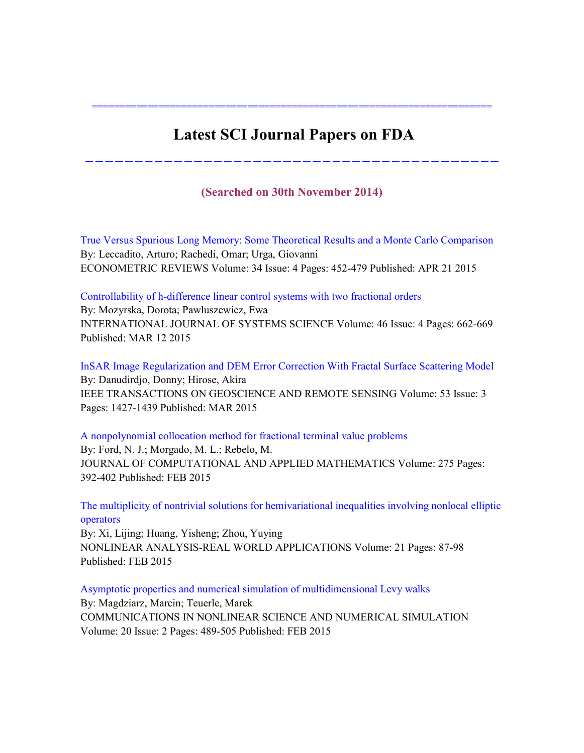## **Latest SCI Journal Papers on FDA**

========================================================================

**(Searched on 30th November 2014)**

------------------------------------------

True Versus Spurious Long Memory: Some Theoretical Results and a Monte Carlo Comparison By: Leccadito, Arturo; Rachedi, Omar; Urga, Giovanni ECONOMETRIC REVIEWS Volume: 34 Issue: 4 Pages: 452-479 Published: APR 21 2015

Controllability of h-difference linear control systems with two fractional orders By: Mozyrska, Dorota; Pawluszewicz, Ewa INTERNATIONAL JOURNAL OF SYSTEMS SCIENCE Volume: 46 Issue: 4 Pages: 662-669 Published: MAR 12 2015

InSAR Image Regularization and DEM Error Correction With Fractal Surface Scattering Model By: Danudirdjo, Donny; Hirose, Akira IEEE TRANSACTIONS ON GEOSCIENCE AND REMOTE SENSING Volume: 53 Issue: 3 Pages: 1427-1439 Published: MAR 2015

A nonpolynomial collocation method for fractional terminal value problems By: Ford, N. J.; Morgado, M. L.; Rebelo, M. JOURNAL OF COMPUTATIONAL AND APPLIED MATHEMATICS Volume: 275 Pages: 392-402 Published: FEB 2015

The multiplicity of nontrivial solutions for hemivariational inequalities involving nonlocal elliptic operators

By: Xi, Lijing; Huang, Yisheng; Zhou, Yuying NONLINEAR ANALYSIS-REAL WORLD APPLICATIONS Volume: 21 Pages: 87-98 Published: FEB 2015

Asymptotic properties and numerical simulation of multidimensional Levy walks By: Magdziarz, Marcin; Teuerle, Marek COMMUNICATIONS IN NONLINEAR SCIENCE AND NUMERICAL SIMULATION Volume: 20 Issue: 2 Pages: 489-505 Published: FEB 2015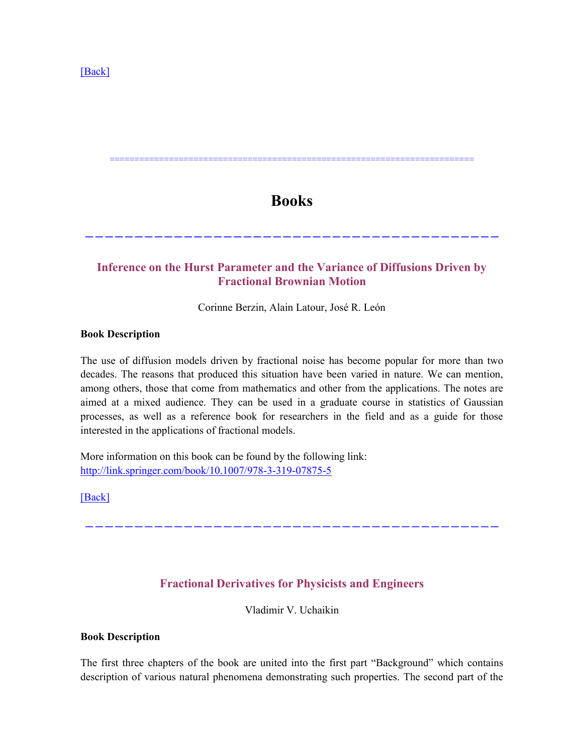### **Books**

==========================================================================

------------------------------------------

### **Inference on the Hurst Parameter and the Variance of Diffusions Driven by Fractional Brownian Motion**

Corinne Berzin, Alain Latour, José R. León

### **Book Description**

The use of diffusion models driven by fractional noise has become popular for more than two decades. The reasons that produced this situation have been varied in nature. We can mention, among others, those that come from mathematics and other from the applications. The notes are aimed at a mixed audience. They can be used in a graduate course in statistics of Gaussian processes, as well as a reference book for researchers in the field and as a guide for those interested in the applications of fractional models.

More information on this book can be found by the following link: <http://link.springer.com/book/10.1007/978-3-319-07875-5>

[\[Back\]](file:///C:/Users/Administrator/AppData/Local/Microsoft/Windows/Temporary%20Internet%20Files/FrontPageTempDir/pvw7.htm%231)

### **Fractional Derivatives for Physicists and Engineers**

------------------------------------------

Vladimir V. Uchaikin

### **Book Description**

The first three chapters of the book are united into the first part "Background" which contains description of various natural phenomena demonstrating such properties. The second part of the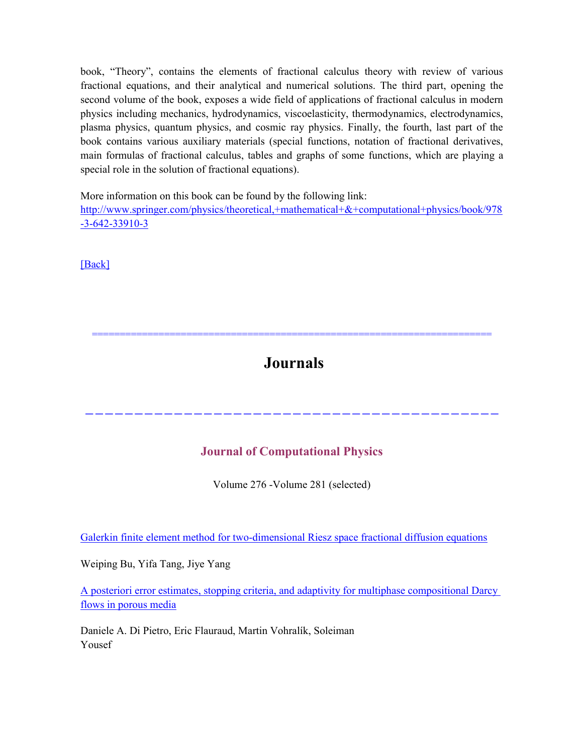book, "Theory", contains the elements of fractional calculus theory with review of various fractional equations, and their analytical and numerical solutions. The third part, opening the second volume of the book, exposes a wide field of applications of fractional calculus in modern physics including mechanics, hydrodynamics, viscoelasticity, thermodynamics, electrodynamics, plasma physics, quantum physics, and cosmic ray physics. Finally, the fourth, last part of the book contains various auxiliary materials (special functions, notation of fractional derivatives, main formulas of fractional calculus, tables and graphs of some functions, which are playing a special role in the solution of fractional equations).

More information on this book can be found by the following link:

[http://www.springer.com/physics/theoretical,+mathematical+&+computational+physics/book/978](http://www.springer.com/physics/theoretical,+mathematical+&+computational+physics/book/978-3-642-33910-3) [-3-642-33910-3](http://www.springer.com/physics/theoretical,+mathematical+&+computational+physics/book/978-3-642-33910-3)

[\[Back\]](file:///C:/Users/Administrator/AppData/Local/Microsoft/Windows/Temporary%20Internet%20Files/FrontPageTempDir/pvw7.htm%231)

# **Journals**

========================================================================

------------------------------------------

### **Journal of Computational Physics**

Volume 276 -Volume 281 (selected)

Galerkin finite element method for two-dimensional Riesz space fractional diffusion equations

Weiping Bu, Yifa Tang, Jiye Yang

A posteriori error estimates, stopping criteria, and adaptivity for multiphase compositional Darcy flows in porous media

Daniele A. Di Pietro, Eric Flauraud, Martin Vohralík, Soleiman Yousef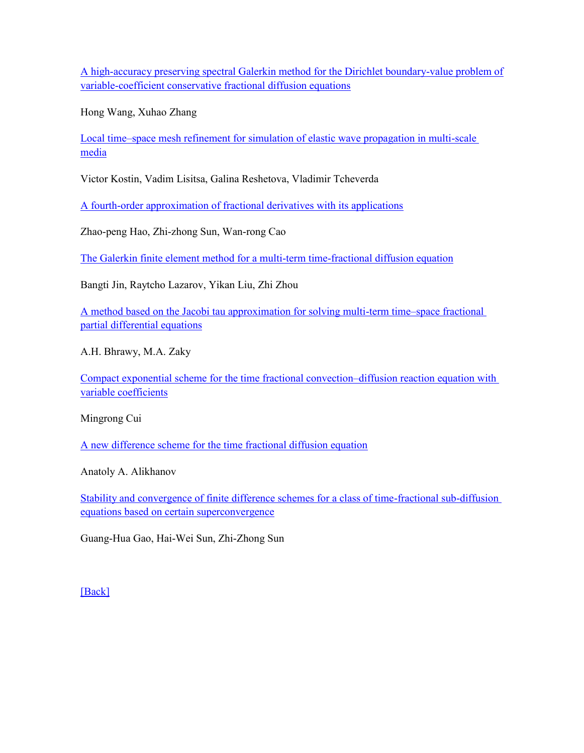A high-accuracy preserving spectral Galerkin method for the Dirichlet boundary-value problem of variable-coefficient conservative fractional diffusion equations

Hong Wang, Xuhao Zhang

Local time–[space mesh refinement for simulation of elastic wave propagation in multi-scale](http://www.sciencedirect.com/science/article/pii/S0021999114007293)  [media](http://www.sciencedirect.com/science/article/pii/S0021999114007293)

Victor Kostin, Vadim Lisitsa, Galina Reshetova, Vladimir Tcheverda

[A fourth-order approximation of fractional derivatives with its applications](http://www.sciencedirect.com/science/article/pii/S0021999114007414)

Zhao-peng Hao, Zhi-zhong Sun, Wan-rong Cao

[The Galerkin finite element method for a multi-term time-fractional diffusion equation](http://www.sciencedirect.com/science/article/pii/S0021999114007396)

Bangti Jin, Raytcho Lazarov, Yikan Liu, Zhi Zhou

[A method based on the Jacobi tau approximation for solving multi-term time](http://www.sciencedirect.com/science/article/pii/S0021999114007487)–space fractional [partial differential equations](http://www.sciencedirect.com/science/article/pii/S0021999114007487)

A.H. Bhrawy, M.A. Zaky

[Compact exponential scheme for the time fractional convection](http://www.sciencedirect.com/science/article/pii/S0021999114006482)–diffusion reaction equation with [variable coefficients](http://www.sciencedirect.com/science/article/pii/S0021999114006482)

Mingrong Cui

[A new difference scheme for the time fractional diffusion equation](http://www.sciencedirect.com/science/article/pii/S0021999114006676)

Anatoly A. Alikhanov

[Stability and convergence of finite difference schemes for a class of time-fractional sub-diffusion](http://www.sciencedirect.com/science/article/pii/S002199911400669X)  [equations based on certain superconvergence](http://www.sciencedirect.com/science/article/pii/S002199911400669X)

Guang-Hua Gao, Hai-Wei Sun, Zhi-Zhong Sun

[\[Back\]](file:///C:/Users/Administrator/AppData/Local/Microsoft/Windows/Temporary%20Internet%20Files/FrontPageTempDir/pvw7.htm%231)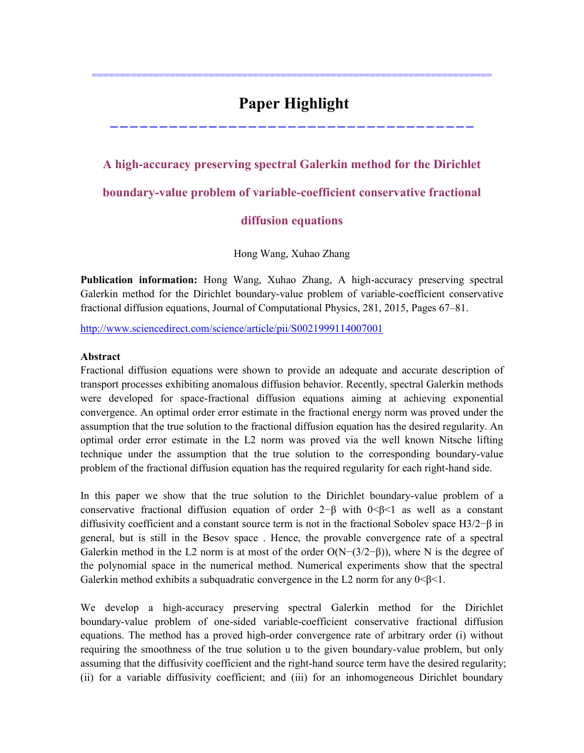# **Paper Highlight**

========================================================================

-------------------------------------

# **A high-accuracy preserving spectral Galerkin method for the Dirichlet boundary-value problem of variable-coefficient conservative fractional**

### **diffusion equations**

Hong Wang, Xuhao Zhang

**Publication information:** Hong Wang, Xuhao Zhang, A high-accuracy preserving spectral Galerkin method for the Dirichlet boundary-value problem of variable-coefficient conservative fractional diffusion equations, Journal of Computational Physics, 281, 2015, Pages 67–81.

<http://www.sciencedirect.com/science/article/pii/S0021999114007001>

### **Abstract**

Fractional diffusion equations were shown to provide an adequate and accurate description of transport processes exhibiting anomalous diffusion behavior. Recently, spectral Galerkin methods were developed for space-fractional diffusion equations aiming at achieving exponential convergence. An optimal order error estimate in the fractional energy norm was proved under the assumption that the true solution to the fractional diffusion equation has the desired regularity. An optimal order error estimate in the L2 norm was proved via the well known Nitsche lifting technique under the assumption that the true solution to the corresponding boundary-value problem of the fractional diffusion equation has the required regularity for each right-hand side.

In this paper we show that the true solution to the Dirichlet boundary-value problem of a conservative fractional diffusion equation of order  $2-\beta$  with  $0<\beta<1$  as well as a constant diffusivity coefficient and a constant source term is not in the fractional Sobolev space H3/2−β in general, but is still in the Besov space . Hence, the provable convergence rate of a spectral Galerkin method in the L2 norm is at most of the order  $O(N-(3/2–\beta))$ , where N is the degree of the polynomial space in the numerical method. Numerical experiments show that the spectral Galerkin method exhibits a subquadratic convergence in the L2 norm for any  $0<\beta<1$ .

We develop a high-accuracy preserving spectral Galerkin method for the Dirichlet boundary-value problem of one-sided variable-coefficient conservative fractional diffusion equations. The method has a proved high-order convergence rate of arbitrary order (i) without requiring the smoothness of the true solution u to the given boundary-value problem, but only assuming that the diffusivity coefficient and the right-hand source term have the desired regularity; (ii) for a variable diffusivity coefficient; and (iii) for an inhomogeneous Dirichlet boundary